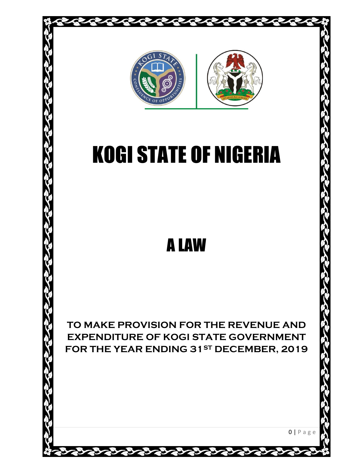

# KOGI STATE OF NIGERIA

## A LAW

**TO MAKE PROVISION FOR THE REVENUE AND EXPENDITURE OF KOGI STATE GOVERNMENT FOR THE YEAR ENDING 31ST DECEMBER, 2019**

 $0 | P a g e$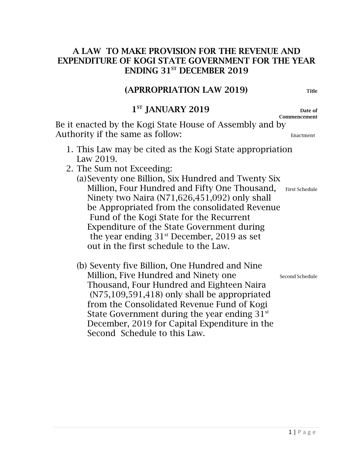#### A LAW TO MAKE PROVISION FOR THE REVENUE AND EXPENDITURE OF KOGI STATE GOVERNMENT FOR THE YEAR ENDING 31<sup>ST</sup> DECEMBER 2019

#### (APRROPRIATION LAW 2019) Title

#### $\sim$  1 1<sup>ST</sup> JANUARY 2019 Date of

Commencement

Be it enacted by the Kogi State House of Assembly and by Authority if the same as follow: Enactment

- 1. This Law may be cited as the Kogi State appropriation Law 2019.
- 2. The Sum not Exceeding:
	- (a)Seventy one Billion, Six Hundred and Twenty Six Million, Four Hundred and Fifty One Thousand, First Schedule Ninety two Naira (N71,626,451,092) only shall be Appropriated from the consolidated Revenue Fund of the Kogi State for the Recurrent Expenditure of the State Government during the year ending  $31<sup>st</sup>$  December, 2019 as set out in the first schedule to the Law.
	- (b) Seventy five Billion, One Hundred and Nine Million, Five Hundred and Ninety one Second Schedule Thousand, Four Hundred and Eighteen Naira (N75,109,591,418) only shall be appropriated from the Consolidated Revenue Fund of Kogi State Government during the year ending  $31<sup>st</sup>$ December, 2019 for Capital Expenditure in the Second Schedule to this Law.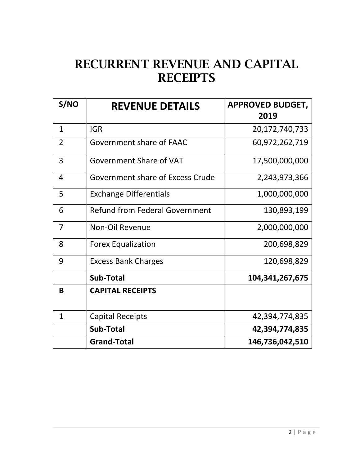### RECURRENT REVENUE AND CAPITAL **RECEIPTS**

| S/NO           | <b>REVENUE DETAILS</b>                            | <b>APPROVED BUDGET,</b><br>2019 |
|----------------|---------------------------------------------------|---------------------------------|
| $\mathbf{1}$   | <b>IGR</b><br>20,172,740,733                      |                                 |
| $\overline{2}$ | Government share of FAAC                          | 60,972,262,719                  |
| $\overline{3}$ | Government Share of VAT<br>17,500,000,000         |                                 |
| 4              | Government share of Excess Crude<br>2,243,973,366 |                                 |
| 5              | <b>Exchange Differentials</b><br>1,000,000,000    |                                 |
| 6              | <b>Refund from Federal Government</b>             | 130,893,199                     |
| $\overline{7}$ | Non-Oil Revenue<br>2,000,000,000                  |                                 |
| 8              | <b>Forex Equalization</b><br>200,698,829          |                                 |
| 9              | <b>Excess Bank Charges</b><br>120,698,829         |                                 |
|                | <b>Sub-Total</b>                                  | 104, 341, 267, 675              |
| B              | <b>CAPITAL RECEIPTS</b>                           |                                 |
| $\mathbf{1}$   | <b>Capital Receipts</b>                           | 42,394,774,835                  |
|                | Sub-Total                                         | 42,394,774,835                  |
|                | <b>Grand-Total</b>                                | 146,736,042,510                 |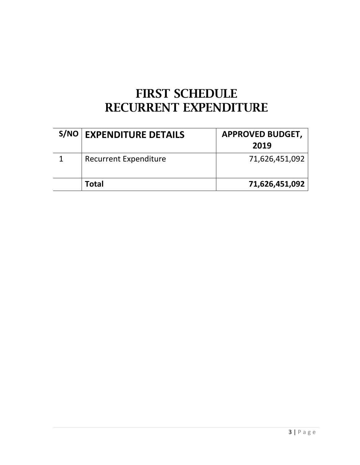### FIRST SCHEDULE RECURRENT EXPENDITURE

| <b>S/NO EXPENDITURE DETAILS</b> | <b>APPROVED BUDGET,</b><br>2019 |
|---------------------------------|---------------------------------|
| <b>Recurrent Expenditure</b>    | 71,626,451,092                  |
| Total                           | 71,626,451,092                  |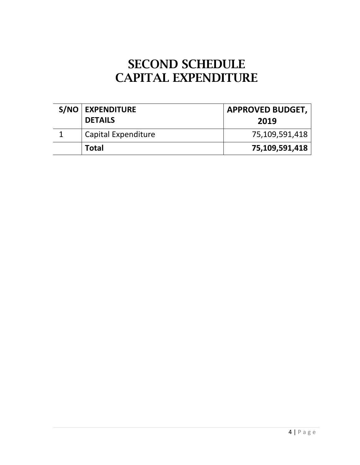### SECOND SCHEDULE CAPITAL EXPENDITURE

| S/NO   EXPENDITURE<br><b>DETAILS</b> | <b>APPROVED BUDGET,</b><br>2019 |
|--------------------------------------|---------------------------------|
| Capital Expenditure                  | 75,109,591,418                  |
| Total                                | 75,109,591,418                  |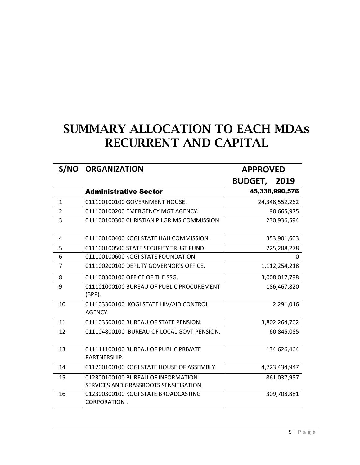### SUMMARY ALLOCATION TO EACH MDAs RECURRENT AND CAPITAL

| S/NO           | <b>ORGANIZATION</b>                                                          | <b>APPROVED</b>     |  |
|----------------|------------------------------------------------------------------------------|---------------------|--|
|                |                                                                              | <b>BUDGET, 2019</b> |  |
|                | <b>Administrative Sector</b>                                                 | 45,338,990,576      |  |
| $\mathbf{1}$   | 011100100100 GOVERNMENT HOUSE.                                               | 24,348,552,262      |  |
| 2              | 011100100200 EMERGENCY MGT AGENCY.                                           | 90,665,975          |  |
| 3              | 011100100300 CHRISTIAN PILGRIMS COMMISSION.                                  | 230,936,594         |  |
| 4              | 011100100400 KOGI STATE HAJJ COMMISSION.                                     | 353,901,603         |  |
| 5              | 011100100500 STATE SECURITY TRUST FUND.                                      | 225,288,278         |  |
| 6              | 011100100600 KOGI STATE FOUNDATION.                                          | 0                   |  |
| $\overline{7}$ | 011100200100 DEPUTY GOVERNOR'S OFFICE.                                       | 1,112,254,218       |  |
| 8              | 011100300100 OFFICE OF THE SSG.                                              | 3,008,017,798       |  |
| 9              | 011101000100 BUREAU OF PUBLIC PROCUREMENT<br>$(BPP)$ .                       | 186,467,820         |  |
| 10             | 011103300100 KOGI STATE HIV/AID CONTROL<br>AGENCY.                           | 2,291,016           |  |
| 11             | 011103500100 BUREAU OF STATE PENSION.                                        | 3,802,264,702       |  |
| 12             | 011104800100 BUREAU OF LOCAL GOVT PENSION.                                   | 60,845,085          |  |
| 13             | 011111100100 BUREAU OF PUBLIC PRIVATE<br>PARTNERSHIP.                        | 134,626,464         |  |
| 14             | 011200100100 KOGI STATE HOUSE OF ASSEMBLY.                                   | 4,723,434,947       |  |
| 15             | 012300100100 BUREAU OF INFORMATION<br>SERVICES AND GRASSROOTS SENSITISATION. | 861,037,957         |  |
| 16             | 012300300100 KOGI STATE BROADCASTING<br>CORPORATION.                         | 309,708,881         |  |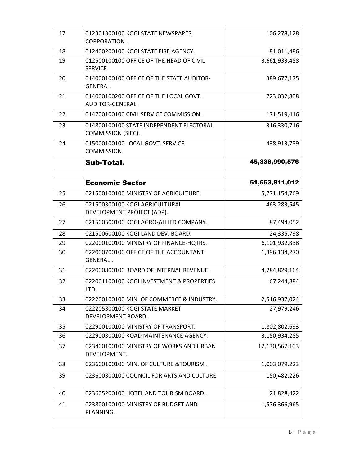| 17 | 012301300100 KOGI STATE NEWSPAPER<br><b>CORPORATION.</b>       | 106,278,128    |
|----|----------------------------------------------------------------|----------------|
| 18 | 012400200100 KOGI STATE FIRE AGENCY.<br>81,011,486             |                |
| 19 | 012500100100 OFFICE OF THE HEAD OF CIVIL<br>SERVICE.           | 3,661,933,458  |
| 20 | 014000100100 OFFICE OF THE STATE AUDITOR-<br>GENERAL.          | 389,677,175    |
| 21 | 014000100200 OFFICE OF THE LOCAL GOVT.<br>AUDITOR-GENERAL.     | 723,032,808    |
| 22 | 014700100100 CIVIL SERVICE COMMISSION.                         | 171,519,416    |
| 23 | 014800100100 STATE INDEPENDENT ELECTORAL<br>COMMISSION (SIEC). | 316,330,716    |
| 24 | 015000100100 LOCAL GOVT. SERVICE<br>COMMISSION.                | 438,913,789    |
|    | <b>Sub-Total.</b>                                              | 45,338,990,576 |
|    | <b>Economic Sector</b>                                         | 51,663,811,012 |
|    |                                                                |                |
| 25 | 021500100100 MINISTRY OF AGRICULTURE.                          | 5,771,154,769  |
| 26 | 021500300100 KOGI AGRICULTURAL<br>DEVELOPMENT PROJECT (ADP).   | 463,283,545    |
| 27 | 021500500100 KOGI AGRO-ALLIED COMPANY.                         | 87,494,052     |
| 28 | 021500600100 KOGI LAND DEV. BOARD.                             | 24,335,798     |
| 29 | 022000100100 MINISTRY OF FINANCE-HQTRS.                        | 6,101,932,838  |
| 30 | 022000700100 OFFICE OF THE ACCOUNTANT<br><b>GENERAL.</b>       | 1,396,134,270  |
| 31 | 4,284,829,164<br>022000800100 BOARD OF INTERNAL REVENUE.       |                |
| 32 | 022001100100 KOGI INVESTMENT & PROPERTIES<br>LTD.              | 67,244,884     |
| 33 | 022200100100 MIN. OF COMMERCE & INDUSTRY.<br>2,516,937,024     |                |
| 34 | 022205300100 KOGI STATE MARKET<br>DEVELOPMENT BOARD.           | 27,979,246     |
| 35 | 022900100100 MINISTRY OF TRANSPORT.                            | 1,802,802,693  |
| 36 | 022900300100 ROAD MAINTENANCE AGENCY.<br>3,150,934,285         |                |
| 37 | 023400100100 MINISTRY OF WORKS AND URBAN<br>DEVELOPMENT.       | 12,130,567,103 |
| 38 | 023600100100 MIN. OF CULTURE & TOURISM.<br>1,003,079,223       |                |
| 39 | 023600300100 COUNCIL FOR ARTS AND CULTURE.                     | 150,482,226    |
| 40 | 023605200100 HOTEL AND TOURISM BOARD.<br>21,828,422            |                |
| 41 | 023800100100 MINISTRY OF BUDGET AND<br>PLANNING.               | 1,576,366,965  |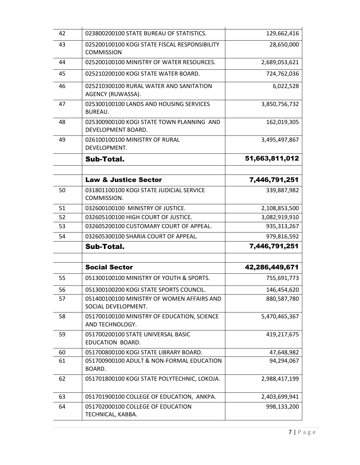| 42 | 023800200100 STATE BUREAU OF STATISTICS.<br>129,662,416                          |                |  |
|----|----------------------------------------------------------------------------------|----------------|--|
| 43 | 025200100100 KOGI STATE FISCAL RESPONSIBILITY<br>28,650,000<br><b>COMMISSION</b> |                |  |
| 44 | 025200100100 MINISTRY OF WATER RESOURCES.                                        | 2,689,053,621  |  |
| 45 | 025210200100 KOGI STATE WATER BOARD.                                             | 724,762,036    |  |
| 46 | 025210300100 RURAL WATER AND SANITATION<br>AGENCY (RUWASSA).                     | 6,022,528      |  |
| 47 | 025300100100 LANDS AND HOUSING SERVICES<br>BUREAU.                               | 3,850,756,732  |  |
| 48 | 025300900100 KOGI STATE TOWN PLANNING AND<br>DEVELOPMENT BOARD.                  | 162,019,305    |  |
| 49 | 026100100100 MINISTRY OF RURAL<br>3,495,497,867<br>DEVELOPMENT.                  |                |  |
|    | <b>Sub-Total.</b>                                                                | 51,663,811,012 |  |
|    |                                                                                  |                |  |
|    | <b>Law &amp; Justice Sector</b>                                                  | 7,446,791,251  |  |
| 50 | 031801100100 KOGI STATE JUDICIAL SERVICE<br>COMMISSION.                          | 339,887,982    |  |
| 51 | 2,108,853,500<br>032600100100 MINISTRY OF JUSTICE.                               |                |  |
| 52 | 032605100100 HIGH COURT OF JUSTICE.                                              | 3,082,919,910  |  |
| 53 | 032605200100 CUSTOMARY COURT OF APPEAL.<br>935, 313, 267                         |                |  |
| 54 | 979,816,592<br>032605300100 SHARIA COURT OF APPEAL.                              |                |  |
|    | Sub-Total.                                                                       | 7,446,791,251  |  |
|    |                                                                                  |                |  |
|    | <b>Social Sector</b>                                                             | 42,286,449,671 |  |
| 55 | 051300100100 MINISTRY OF YOUTH & SPORTS.                                         | 755,691,773    |  |
| 56 | 051300100200 KOGI STATE SPORTS COUNCIL                                           | 146,454,620    |  |
| 57 | 051400100100 MINISTRY OF WOMEN AFFAIRS AND<br>880,587,780<br>SOCIAL DEVELOPMENT. |                |  |
| 58 | 5,470,465,367<br>051700100100 MINISTRY OF EDUCATION, SCIENCE<br>AND TECHNOLOGY.  |                |  |
| 59 | 051700200100 STATE UNIVERSAL BASIC<br>419,217,675<br>EDUCATION BOARD.            |                |  |
| 60 | 051700800100 KOGI STATE LIBRARY BOARD.                                           | 47,648,982     |  |
| 61 | 94,294,067<br>051700900100 ADULT & NON-FORMAL EDUCATION<br>BOARD.                |                |  |
| 62 | 051701800100 KOGI STATE POLYTECHNIC, LOKOJA.<br>2,988,417,199                    |                |  |
| 63 | 051701900100 COLLEGE OF EDUCATION, ANKPA.                                        | 2,403,699,941  |  |
| 64 | 051702000100 COLLEGE OF EDUCATION<br>998,133,200<br>TECHNICAL, KABBA.            |                |  |
|    |                                                                                  |                |  |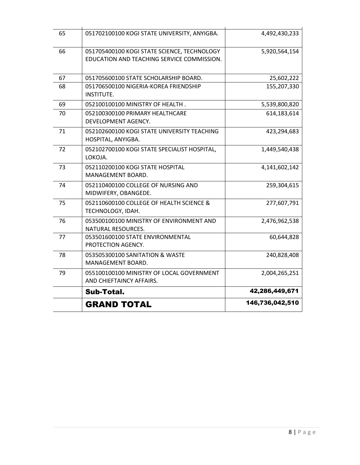|    | <b>GRAND TOTAL</b>                                                                        | 146,736,042,510 |  |  |
|----|-------------------------------------------------------------------------------------------|-----------------|--|--|
|    | Sub-Total.                                                                                | 42,286,449,671  |  |  |
| 79 | 2,004,265,251<br>055100100100 MINISTRY OF LOCAL GOVERNMENT<br>AND CHIEFTAINCY AFFAIRS.    |                 |  |  |
| 78 | 053505300100 SANITATION & WASTE<br>240,828,408<br>MANAGEMENT BOARD.                       |                 |  |  |
| 77 | 053501600100 STATE ENVIRONMENTAL<br>60,644,828<br>PROTECTION AGENCY.                      |                 |  |  |
| 76 | 053500100100 MINISTRY OF ENVIRONMENT AND<br>NATURAL RESOURCES.                            | 2,476,962,538   |  |  |
| 75 | 052110600100 COLLEGE OF HEALTH SCIENCE &<br>TECHNOLOGY, IDAH.                             | 277,607,791     |  |  |
| 74 | 052110400100 COLLEGE OF NURSING AND<br>MIDWIFERY, OBANGEDE.                               | 259,304,615     |  |  |
| 73 | 4,141,602,142<br>052110200100 KOGI STATE HOSPITAL<br>MANAGEMENT BOARD.                    |                 |  |  |
| 72 | 052102700100 KOGI STATE SPECIALIST HOSPITAL,<br>1,449,540,438<br>LOKOJA.                  |                 |  |  |
| 71 | 052102600100 KOGI STATE UNIVERSITY TEACHING<br>423,294,683<br>HOSPITAL, ANYIGBA.          |                 |  |  |
| 70 | 052100300100 PRIMARY HEALTHCARE<br>DEVELOPMENT AGENCY.                                    | 614,183,614     |  |  |
| 69 | 052100100100 MINISTRY OF HEALTH.                                                          | 5,539,800,820   |  |  |
| 68 | 25,602,222<br>051706500100 NIGERIA-KOREA FRIENDSHIP<br>155,207,330<br>INSTITUTE.          |                 |  |  |
| 67 | 051705600100 STATE SCHOLARSHIP BOARD.                                                     |                 |  |  |
| 66 | 051705400100 KOGI STATE SCIENCE, TECHNOLOGY<br>EDUCATION AND TEACHING SERVICE COMMISSION. | 5,920,564,154   |  |  |
| 65 | 051702100100 KOGI STATE UNIVERSITY, ANYIGBA.                                              | 4,492,430,233   |  |  |
|    |                                                                                           |                 |  |  |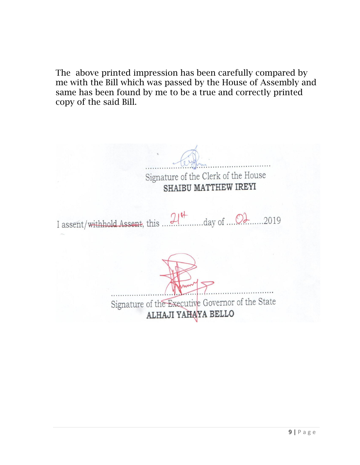The above printed impression has been carefully compared by me with the Bill which was passed by the House of Assembly and same has been found by me to be a true and correctly printed copy of the said Bill.

Signature of the Clerk of the House SHAIBU MATTHEW IREYI I assent/withhold Assent, this  $21^{\frac{4}{3}}$  day of  $2019$ Signature of the Executive Governor of the State ALHAJI YAHAYA BELLO